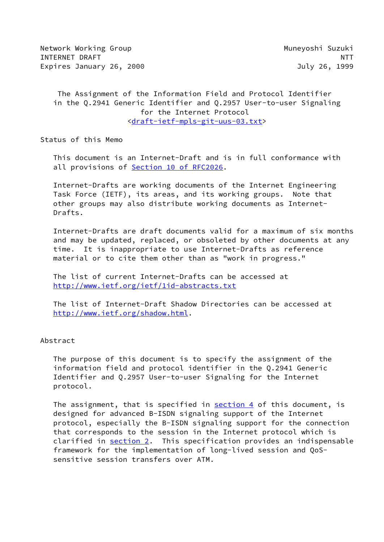Network Working Group Muneyoshi Suzuki INTERNET DRAFT NEWSFILM AND THE RESERVE OF THE RESERVE OF THE RESERVE OF THE RESERVE OF THE RESERVE OF THE RES Expires January 26, 2000 **July 26, 1999** 

 The Assignment of the Information Field and Protocol Identifier in the Q.2941 Generic Identifier and Q.2957 User-to-user Signaling for the Internet Protocol [<draft-ietf-mpls-git-uus-03.txt](https://datatracker.ietf.org/doc/pdf/draft-ietf-mpls-git-uus-03.txt)>

Status of this Memo

 This document is an Internet-Draft and is in full conformance with all provisions of **Section [10 of RFC2026.](https://datatracker.ietf.org/doc/pdf/rfc2026#section-10)** 

 Internet-Drafts are working documents of the Internet Engineering Task Force (IETF), its areas, and its working groups. Note that other groups may also distribute working documents as Internet- Drafts.

 Internet-Drafts are draft documents valid for a maximum of six months and may be updated, replaced, or obsoleted by other documents at any time. It is inappropriate to use Internet-Drafts as reference material or to cite them other than as "work in progress."

 The list of current Internet-Drafts can be accessed at <http://www.ietf.org/ietf/1id-abstracts.txt>

 The list of Internet-Draft Shadow Directories can be accessed at <http://www.ietf.org/shadow.html>.

Abstract

 The purpose of this document is to specify the assignment of the information field and protocol identifier in the Q.2941 Generic Identifier and Q.2957 User-to-user Signaling for the Internet protocol.

The assignment, that is specified in [section 4](#page-10-0) of this document, is designed for advanced B-ISDN signaling support of the Internet protocol, especially the B-ISDN signaling support for the connection that corresponds to the session in the Internet protocol which is clarified in [section 2](#page-1-0). This specification provides an indispensable framework for the implementation of long-lived session and QoS sensitive session transfers over ATM.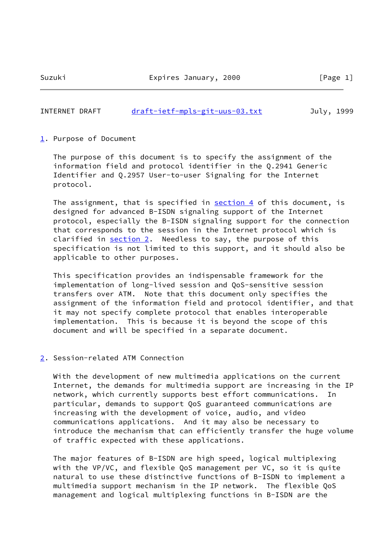## INTERNET DRAFT [draft-ietf-mpls-git-uus-03.txt](https://datatracker.ietf.org/doc/pdf/draft-ietf-mpls-git-uus-03.txt) July, 1999

<span id="page-1-1"></span>[1](#page-1-1). Purpose of Document

 The purpose of this document is to specify the assignment of the information field and protocol identifier in the Q.2941 Generic Identifier and Q.2957 User-to-user Signaling for the Internet protocol.

The assignment, that is specified in [section 4](#page-10-0) of this document, is designed for advanced B-ISDN signaling support of the Internet protocol, especially the B-ISDN signaling support for the connection that corresponds to the session in the Internet protocol which is clarified in [section 2](#page-1-0). Needless to say, the purpose of this specification is not limited to this support, and it should also be applicable to other purposes.

 This specification provides an indispensable framework for the implementation of long-lived session and QoS-sensitive session transfers over ATM. Note that this document only specifies the assignment of the information field and protocol identifier, and that it may not specify complete protocol that enables interoperable implementation. This is because it is beyond the scope of this document and will be specified in a separate document.

### <span id="page-1-0"></span>[2](#page-1-0). Session-related ATM Connection

 With the development of new multimedia applications on the current Internet, the demands for multimedia support are increasing in the IP network, which currently supports best effort communications. In particular, demands to support QoS guaranteed communications are increasing with the development of voice, audio, and video communications applications. And it may also be necessary to introduce the mechanism that can efficiently transfer the huge volume of traffic expected with these applications.

 The major features of B-ISDN are high speed, logical multiplexing with the VP/VC, and flexible QoS management per VC, so it is quite natural to use these distinctive functions of B-ISDN to implement a multimedia support mechanism in the IP network. The flexible QoS management and logical multiplexing functions in B-ISDN are the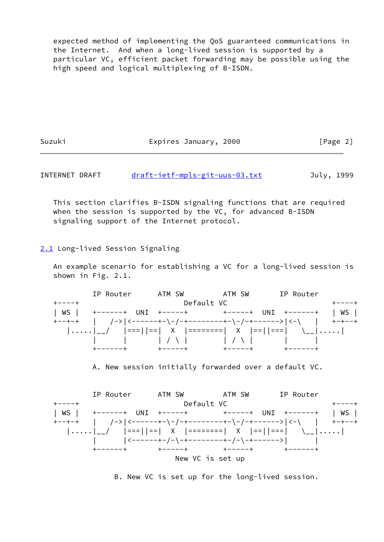expected method of implementing the QoS guaranteed communications in the Internet. And when a long-lived session is supported by a particular VC, efficient packet forwarding may be possible using the high speed and logical multiplexing of B-ISDN.

Suzuki Expires January, 2000 [Page 2]

INTERNET DRAFT [draft-ietf-mpls-git-uus-03.txt](https://datatracker.ietf.org/doc/pdf/draft-ietf-mpls-git-uus-03.txt) July, 1999

 This section clarifies B-ISDN signaling functions that are required when the session is supported by the VC, for advanced B-ISDN signaling support of the Internet protocol.

<span id="page-2-0"></span>[2.1](#page-2-0) Long-lived Session Signaling

 An example scenario for establishing a VC for a long-lived session is shown in Fig. 2.1.

 IP Router ATM SW ATM SW IP Router +----+ Default VC +----+ | WS | +------+ UNI +-----+ + +-----+ UNI +------+ | WS | +--+-+ | /->|<------+-\-/-+--------+-\-/-+------>|<-\ | +-+--+ |.....|\_\_/ |===||==| X |========| X |==||===| \\_\_|.....|  $\begin{array}{ccccccc} | & & | & | & \sqrt{1} & | & \sqrt{1} & | & \sqrt{1} & | & \sqrt{1} & | & \sqrt{1} & | & \sqrt{1} & | & \sqrt{1} & | & \sqrt{1} & | & \sqrt{1} & | & \sqrt{1} & | & \sqrt{1} & | & \sqrt{1} & | & \sqrt{1} & | & \sqrt{1} & | & \sqrt{1} & | & \sqrt{1} & | & \sqrt{1} & | & \sqrt{1} & | & \sqrt{1} & | & \sqrt{1} & | & \sqrt{1} & | & \sqrt{1} & | & \sqrt{1} & | & \sqrt{1} & | & \sqrt{1} & | & \sqrt{1}$ +------+ +-----+ +-----+ +------+

A. New session initially forwarded over a default VC.



B. New VC is set up for the long-lived session.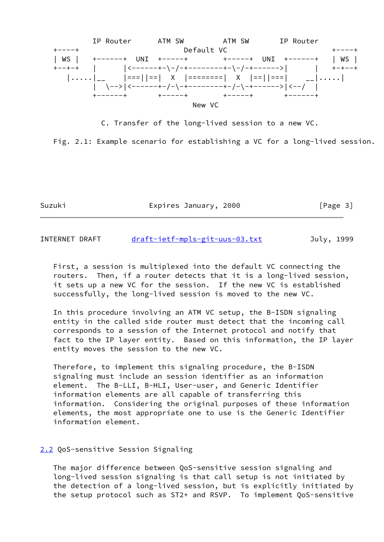

C. Transfer of the long-lived session to a new VC.

Fig. 2.1: Example scenario for establishing a VC for a long-lived session.

Suzuki Expires January, 2000 [Page 3]

INTERNET DRAFT [draft-ietf-mpls-git-uus-03.txt](https://datatracker.ietf.org/doc/pdf/draft-ietf-mpls-git-uus-03.txt) July, 1999

 First, a session is multiplexed into the default VC connecting the routers. Then, if a router detects that it is a long-lived session, it sets up a new VC for the session. If the new VC is established successfully, the long-lived session is moved to the new VC.

 In this procedure involving an ATM VC setup, the B-ISDN signaling entity in the called side router must detect that the incoming call corresponds to a session of the Internet protocol and notify that fact to the IP layer entity. Based on this information, the IP layer entity moves the session to the new VC.

 Therefore, to implement this signaling procedure, the B-ISDN signaling must include an session identifier as an information element. The B-LLI, B-HLI, User-user, and Generic Identifier information elements are all capable of transferring this information. Considering the original purposes of these information elements, the most appropriate one to use is the Generic Identifier information element.

#### <span id="page-3-0"></span>[2.2](#page-3-0) QoS-sensitive Session Signaling

 The major difference between QoS-sensitive session signaling and long-lived session signaling is that call setup is not initiated by the detection of a long-lived session, but is explicitly initiated by the setup protocol such as ST2+ and RSVP. To implement QoS-sensitive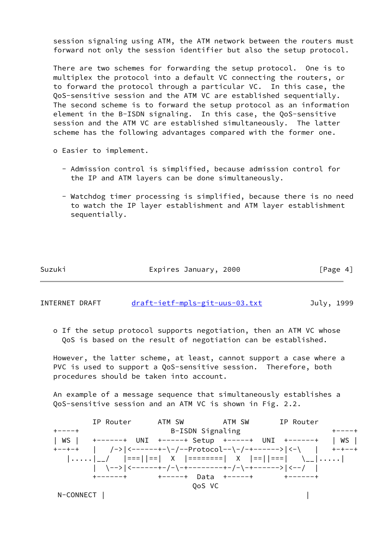session signaling using ATM, the ATM network between the routers must forward not only the session identifier but also the setup protocol.

 There are two schemes for forwarding the setup protocol. One is to multiplex the protocol into a default VC connecting the routers, or to forward the protocol through a particular VC. In this case, the QoS-sensitive session and the ATM VC are established sequentially. The second scheme is to forward the setup protocol as an information element in the B-ISDN signaling. In this case, the QoS-sensitive session and the ATM VC are established simultaneously. The latter scheme has the following advantages compared with the former one.

- o Easier to implement.
	- Admission control is simplified, because admission control for the IP and ATM layers can be done simultaneously.
	- Watchdog timer processing is simplified, because there is no need to watch the IP layer establishment and ATM layer establishment sequentially.

Suzuki Expires January, 2000 [Page 4]

INTERNET DRAFT [draft-ietf-mpls-git-uus-03.txt](https://datatracker.ietf.org/doc/pdf/draft-ietf-mpls-git-uus-03.txt) July, 1999

 o If the setup protocol supports negotiation, then an ATM VC whose QoS is based on the result of negotiation can be established.

 However, the latter scheme, at least, cannot support a case where a PVC is used to support a QoS-sensitive session. Therefore, both procedures should be taken into account.

 An example of a message sequence that simultaneously establishes a QoS-sensitive session and an ATM VC is shown in Fig. 2.2.

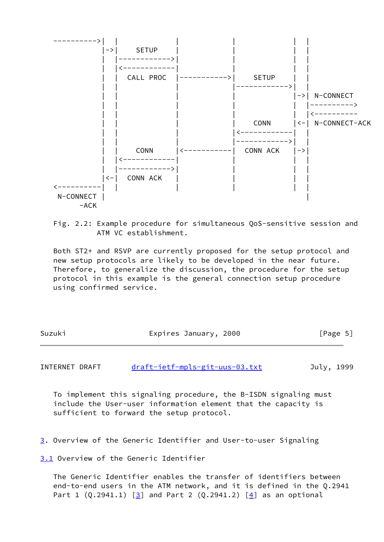



 Both ST2+ and RSVP are currently proposed for the setup protocol and new setup protocols are likely to be developed in the near future. Therefore, to generalize the discussion, the procedure for the setup protocol in this example is the general connection setup procedure using confirmed service.

| Suzuki | Expires January, 2000 | [Page 5] |
|--------|-----------------------|----------|
|        |                       |          |

INTERNET DRAFT [draft-ietf-mpls-git-uus-03.txt](https://datatracker.ietf.org/doc/pdf/draft-ietf-mpls-git-uus-03.txt) July, 1999

 To implement this signaling procedure, the B-ISDN signaling must include the User-user information element that the capacity is sufficient to forward the setup protocol.

<span id="page-5-0"></span>[3](#page-5-0). Overview of the Generic Identifier and User-to-user Signaling

<span id="page-5-1"></span>[3.1](#page-5-1) Overview of the Generic Identifier

 The Generic Identifier enables the transfer of identifiers between end-to-end users in the ATM network, and it is defined in the Q.2941 Part 1  $(Q.2941.1)$   $[3]$  $[3]$  and Part 2  $(Q.2941.2)$   $[4]$  $[4]$  as an optional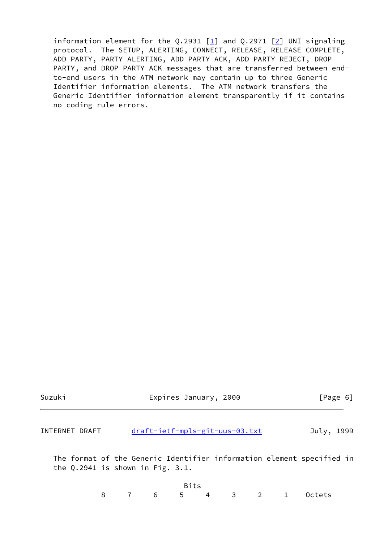information element for the Q.2931  $\lceil \frac{1}{2} \rceil$  and Q.2971  $\lceil \frac{2}{2} \rceil$  UNI signaling protocol. The SETUP, ALERTING, CONNECT, RELEASE, RELEASE COMPLETE, ADD PARTY, PARTY ALERTING, ADD PARTY ACK, ADD PARTY REJECT, DROP PARTY, and DROP PARTY ACK messages that are transferred between end to-end users in the ATM network may contain up to three Generic Identifier information elements. The ATM network transfers the Generic Identifier information element transparently if it contains no coding rule errors.

| Suzuki         | Expires January, 2000                                                                                          | [Page 6]   |
|----------------|----------------------------------------------------------------------------------------------------------------|------------|
| INTERNET DRAFT | draft-ietf-mpls-git-uus-03.txt                                                                                 | July, 1999 |
|                | The format of the Generic Identifier information element specified in<br>the $Q.2941$ is shown in Fig. $3.1$ . |            |
|                | Bits                                                                                                           |            |

8 7 6 5 4 3 2 1 Octets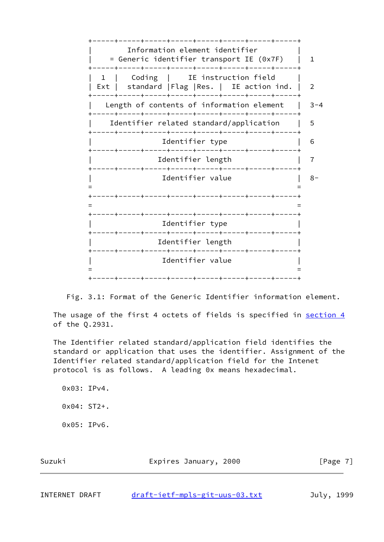+-----+-----+-----+-----+-----+-----+-----+-----+ Information element identifier | = Generic identifier transport IE (0x7F) | 1 +-----+-----+-----+-----+-----+-----+-----+-----+ 1 | Coding | IE instruction field Ext | standard | Flag | Res. | IE action ind. | 2 +-----+-----+-----+-----+-----+-----+-----+-----+ Length of contents of information element  $|$  3-4 +-----+-----+-----+-----+-----+-----+-----+-----+ Identifier related standard/application | 5 +-----+-----+-----+-----+-----+-----+-----+-----+ | Identifier type | 6 +-----+-----+-----+-----+-----+-----+-----+-----+ | Identifier length | 7 +-----+-----+-----+-----+-----+-----+-----+-----+ | Identifier value | 8- = = +-----+-----+-----+-----+-----+-----+-----+-----+ = = +-----+-----+-----+-----+-----+-----+-----+-----+ Identifier type +-----+-----+-----+-----+-----+-----+-----+-----+ Identifier length +-----+-----+-----+-----+-----+-----+-----+-----+ | Identifier value | = = +-----+-----+-----+-----+-----+-----+-----+-----+



The usage of the first 4 octets of fields is specified in [section 4](#page-10-0) of the Q.2931.

 The Identifier related standard/application field identifies the standard or application that uses the identifier. Assignment of the Identifier related standard/application field for the Intenet protocol is as follows. A leading 0x means hexadecimal.

 0x03: IPv4. 0x04: ST2+. 0x05: IPv6.

| Suzuki | Expires January, 2000 | [Page 7] |
|--------|-----------------------|----------|
|        |                       |          |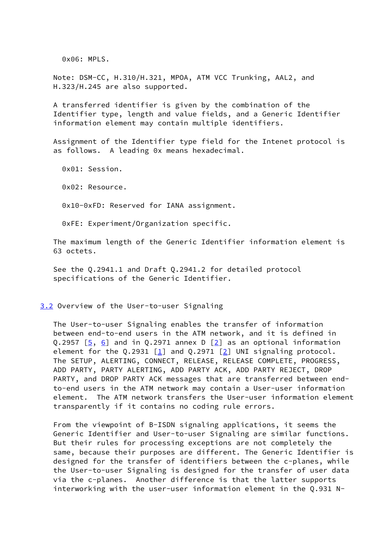0x06: MPLS.

 Note: DSM-CC, H.310/H.321, MPOA, ATM VCC Trunking, AAL2, and H.323/H.245 are also supported.

 A transferred identifier is given by the combination of the Identifier type, length and value fields, and a Generic Identifier information element may contain multiple identifiers.

 Assignment of the Identifier type field for the Intenet protocol is as follows. A leading 0x means hexadecimal.

 0x01: Session. 0x02: Resource. 0x10-0xFD: Reserved for IANA assignment. 0xFE: Experiment/Organization specific.

 The maximum length of the Generic Identifier information element is 63 octets.

 See the Q.2941.1 and Draft Q.2941.2 for detailed protocol specifications of the Generic Identifier.

#### <span id="page-8-0"></span>[3.2](#page-8-0) Overview of the User-to-user Signaling

 The User-to-user Signaling enables the transfer of information between end-to-end users in the ATM network, and it is defined in Q.2957  $[5, 6]$  $[5, 6]$  $[5, 6]$  and in Q.2971 annex D  $[2]$  $[2]$  as an optional information element for the Q.2931 [\[1](#page-25-2)] and Q.2971 [[2\]](#page-25-3) UNI signaling protocol. The SETUP, ALERTING, CONNECT, RELEASE, RELEASE COMPLETE, PROGRESS, ADD PARTY, PARTY ALERTING, ADD PARTY ACK, ADD PARTY REJECT, DROP PARTY, and DROP PARTY ACK messages that are transferred between end to-end users in the ATM network may contain a User-user information element. The ATM network transfers the User-user information element transparently if it contains no coding rule errors.

 From the viewpoint of B-ISDN signaling applications, it seems the Generic Identifier and User-to-user Signaling are similar functions. But their rules for processing exceptions are not completely the same, because their purposes are different. The Generic Identifier is designed for the transfer of identifiers between the c-planes, while the User-to-user Signaling is designed for the transfer of user data via the c-planes. Another difference is that the latter supports interworking with the user-user information element in the Q.931 N-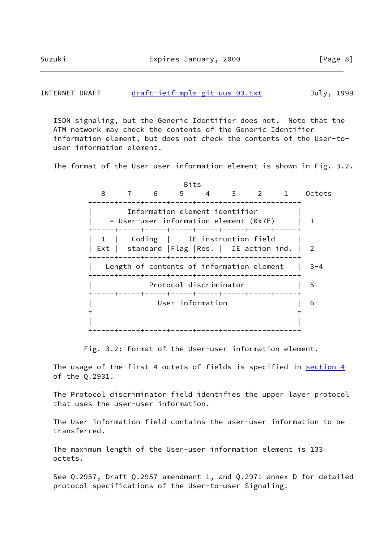### INTERNET DRAFT [draft-ietf-mpls-git-uus-03.txt](https://datatracker.ietf.org/doc/pdf/draft-ietf-mpls-git-uus-03.txt) July, 1999

 ISDN signaling, but the Generic Identifier does not. Note that the ATM network may check the contents of the Generic Identifier information element, but does not check the contents of the User-to user information element.

The format of the User-user information element is shown in Fig. 3.2.

 Bits 8 7 6 5 4 3 2 1 Octets +-----+-----+-----+-----+-----+-----+-----+-----+ Information element identifier  $=$  User-user information element (0x7E) | 1 +-----+-----+-----+-----+-----+-----+-----+-----+ | 1 | Coding | IE instruction field | Ext | standard | Flag | Res. | IE action ind. | 2 +-----+-----+-----+-----+-----+-----+-----+-----+ | Length of contents of information element | 3-4 +-----+-----+-----+-----+-----+-----+-----+-----+ Protocol discriminator | 5 +-----+-----+-----+-----+-----+-----+-----+-----+ | User information | 6- = = | | +-----+-----+-----+-----+-----+-----+-----+-----+

Fig. 3.2: Format of the User-user information element.

The usage of the first 4 octets of fields is specified in [section 4](#page-10-0) of the Q.2931.

 The Protocol discriminator field identifies the upper layer protocol that uses the user-user information.

 The User information field contains the user-user information to be transferred.

 The maximum length of the User-user information element is 133 octets.

 See Q.2957, Draft Q.2957 amendment 1, and Q.2971 annex D for detailed protocol specifications of the User-to-user Signaling.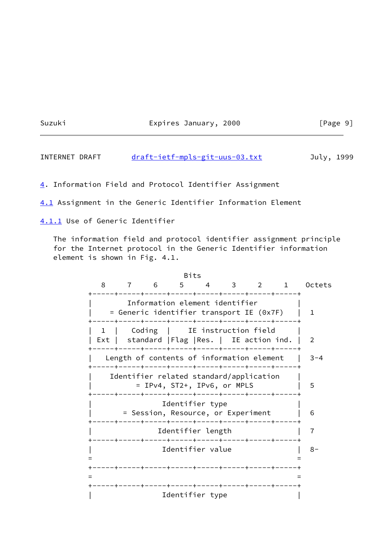Suzuki Expires January, 2000 [Page 9]

INTERNET DRAFT [draft-ietf-mpls-git-uus-03.txt](https://datatracker.ietf.org/doc/pdf/draft-ietf-mpls-git-uus-03.txt) July, 1999

<span id="page-10-0"></span>[4](#page-10-0). Information Field and Protocol Identifier Assignment

<span id="page-10-1"></span>[4.1](#page-10-1) Assignment in the Generic Identifier Information Element

<span id="page-10-2"></span>[4.1.1](#page-10-2) Use of Generic Identifier

 The information field and protocol identifier assignment principle for the Internet protocol in the Generic Identifier information element is shown in Fig. 4.1.

<u>Bits and the contract of the Bits</u> 8 7 6 5 4 3 2 1 Octets +-----+-----+-----+-----+-----+-----+-----+-----+ Information element identifier | = Generic identifier transport IE (0x7F) | 1 +-----+-----+-----+-----+-----+-----+-----+-----+ 1 | Coding | IE instruction field Ext | standard | Flag | Res. | IE action ind. | 2 +-----+-----+-----+-----+-----+-----+-----+-----+ Length of contents of information element  $|$  3-4 +-----+-----+-----+-----+-----+-----+-----+-----+ Identifier related standard/application | = IPv4, ST2+, IPv6, or MPLS | 5 +-----+-----+-----+-----+-----+-----+-----+-----+ Identifier type | = Session, Resource, or Experiment | 6 +-----+-----+-----+-----+-----+-----+-----+-----+ | Identifier length | 7 +-----+-----+-----+-----+-----+-----+-----+-----+ | Identifier value | 8- = = +-----+-----+-----+-----+-----+-----+-----+-----+ = = +-----+-----+-----+-----+-----+-----+-----+-----+ Identifier type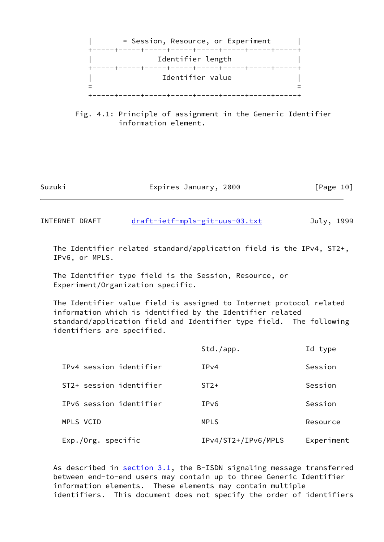

 Fig. 4.1: Principle of assignment in the Generic Identifier information element.

| Suzuki | Expires January, 2000 | [Page 10] |
|--------|-----------------------|-----------|
|        |                       |           |

INTERNET DRAFT [draft-ietf-mpls-git-uus-03.txt](https://datatracker.ietf.org/doc/pdf/draft-ietf-mpls-git-uus-03.txt) July, 1999

 The Identifier related standard/application field is the IPv4, ST2+, IPv6, or MPLS.

 The Identifier type field is the Session, Resource, or Experiment/Organization specific.

 The Identifier value field is assigned to Internet protocol related information which is identified by the Identifier related standard/application field and Identifier type field. The following identifiers are specified.

|                         | Std./app.           | Id type    |
|-------------------------|---------------------|------------|
| IPv4 session identifier | IPv4                | Session    |
| ST2+ session identifier | $ST2+$              | Session    |
| IPv6 session identifier | IP <sub>V</sub> 6   | Session    |
| MPLS VCID               | <b>MPLS</b>         | Resource   |
| Exp./Org. specific      | IPv4/ST2+/IPv6/MPLS | Experiment |

As described in [section 3.1](#page-5-1), the B-ISDN signaling message transferred between end-to-end users may contain up to three Generic Identifier information elements. These elements may contain multiple identifiers. This document does not specify the order of identifiers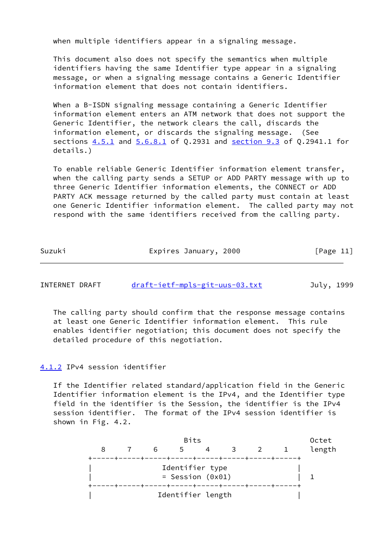when multiple identifiers appear in a signaling message.

 This document also does not specify the semantics when multiple identifiers having the same Identifier type appear in a signaling message, or when a signaling message contains a Generic Identifier information element that does not contain identifiers.

When a B-ISDN signaling message containing a Generic Identifier information element enters an ATM network that does not support the Generic Identifier, the network clears the call, discards the information element, or discards the signaling message. (See sections  $4.5.1$  and  $5.6.8.1$  of Q.2931 and section 9.3 of Q.2941.1 for details.)

 To enable reliable Generic Identifier information element transfer, when the calling party sends a SETUP or ADD PARTY message with up to three Generic Identifier information elements, the CONNECT or ADD PARTY ACK message returned by the called party must contain at least one Generic Identifier information element. The called party may not respond with the same identifiers received from the calling party.

| [Page 11] |
|-----------|
|           |

| INTERNET DRAFT | draft-ietf-mpls-git-uus-03.txt | July, 1999 |
|----------------|--------------------------------|------------|
|                |                                |            |

 The calling party should confirm that the response message contains at least one Generic Identifier information element. This rule enables identifier negotiation; this document does not specify the detailed procedure of this negotiation.

### <span id="page-12-0"></span>[4.1.2](#page-12-0) IPv4 session identifier

 If the Identifier related standard/application field in the Generic Identifier information element is the IPv4, and the Identifier type field in the identifier is the Session, the identifier is the IPv4 session identifier. The format of the IPv4 session identifier is shown in Fig. 4.2.

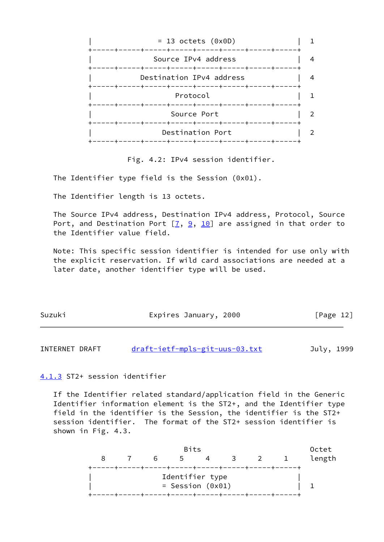

Fig. 4.2: IPv4 session identifier.

The Identifier type field is the Session (0x01).

The Identifier length is 13 octets.

 The Source IPv4 address, Destination IPv4 address, Protocol, Source Port, and Destination Port  $[7, 9, 10]$  $[7, 9, 10]$  $[7, 9, 10]$  $[7, 9, 10]$  $[7, 9, 10]$  are assigned in that order to the Identifier value field.

 Note: This specific session identifier is intended for use only with the explicit reservation. If wild card associations are needed at a later date, another identifier type will be used.

| Suzuki | Expires January, 2000 | [Page 12] |
|--------|-----------------------|-----------|
|        |                       |           |

INTERNET DRAFT [draft-ietf-mpls-git-uus-03.txt](https://datatracker.ietf.org/doc/pdf/draft-ietf-mpls-git-uus-03.txt) July, 1999

<span id="page-13-0"></span>[4.1.3](#page-13-0) ST2+ session identifier

 If the Identifier related standard/application field in the Generic Identifier information element is the ST2+, and the Identifier type field in the identifier is the Session, the identifier is the ST2+ session identifier. The format of the ST2+ session identifier is shown in Fig. 4.3.

|  |   | <b>Bits</b>        |  |     | Octet  |
|--|---|--------------------|--|-----|--------|
|  | 6 | .5                 |  | 3 2 | length |
|  |   |                    |  |     |        |
|  |   | Identifier type    |  |     |        |
|  |   | $=$ Session (0x01) |  |     |        |
|  |   |                    |  |     |        |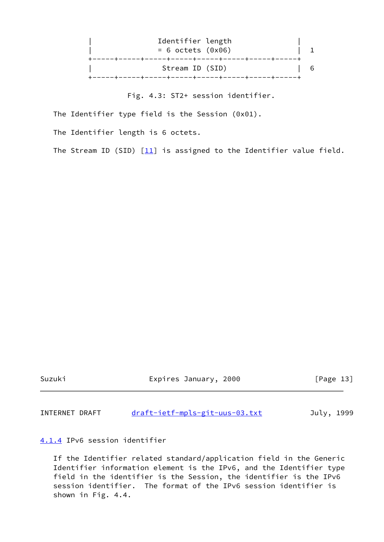

Fig. 4.3: ST2+ session identifier.

The Identifier type field is the Session (0x01).

The Identifier length is 6 octets.

The Stream ID (SID)  $[11]$  is assigned to the Identifier value field.

Suzuki Expires January, 2000 [Page 13]

INTERNET DRAFT [draft-ietf-mpls-git-uus-03.txt](https://datatracker.ietf.org/doc/pdf/draft-ietf-mpls-git-uus-03.txt) July, 1999

<span id="page-14-0"></span>[4.1.4](#page-14-0) IPv6 session identifier

 If the Identifier related standard/application field in the Generic Identifier information element is the IPv6, and the Identifier type field in the identifier is the Session, the identifier is the IPv6 session identifier. The format of the IPv6 session identifier is shown in Fig. 4.4.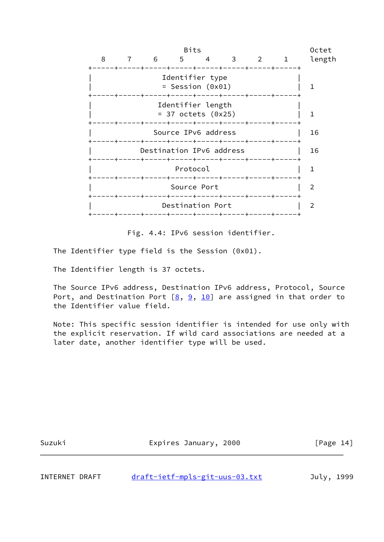|   |     |   | <b>Bits</b>                               |                                                                               |   |    | Octet  |
|---|-----|---|-------------------------------------------|-------------------------------------------------------------------------------|---|----|--------|
| 8 | 6 — | 5 | 4                                         | 3                                                                             | 2 | 1. | length |
|   |     |   | Identifier type<br>$=$ Session (0x01)     | ----+-----+-----+-----+-----+-<br>----+-----+-----+-----+-----+-----+----+--- |   |    |        |
|   |     |   | Identifier length<br>$= 37$ octets (0x25) |                                                                               |   |    |        |
|   |     |   | Source IPv6 address                       |                                                                               |   |    | 16     |
|   |     |   |                                           | Destination IPv6 address                                                      |   |    | 16     |
|   |     |   | Protocol                                  | ----+-----+-----+----+-----+                                                  |   |    |        |
|   |     |   | Source Port                               | ----+-----+-----+-----+-----+                                                 |   |    | 2      |
|   |     |   | Destination Port                          |                                                                               |   |    | 2      |
|   |     |   |                                           |                                                                               |   |    |        |

Fig. 4.4: IPv6 session identifier.

The Identifier type field is the Session (0x01).

The Identifier length is 37 octets.

 The Source IPv6 address, Destination IPv6 address, Protocol, Source Port, and Destination Port  $[8, 9, 10]$  $[8, 9, 10]$  $[8, 9, 10]$  $[8, 9, 10]$  $[8, 9, 10]$  are assigned in that order to the Identifier value field.

 Note: This specific session identifier is intended for use only with the explicit reservation. If wild card associations are needed at a later date, another identifier type will be used.

| Suzuki | Expires January, 2000 | [Page $14$ ] |
|--------|-----------------------|--------------|
|        |                       |              |

INTERNET DRAFT [draft-ietf-mpls-git-uus-03.txt](https://datatracker.ietf.org/doc/pdf/draft-ietf-mpls-git-uus-03.txt) July, 1999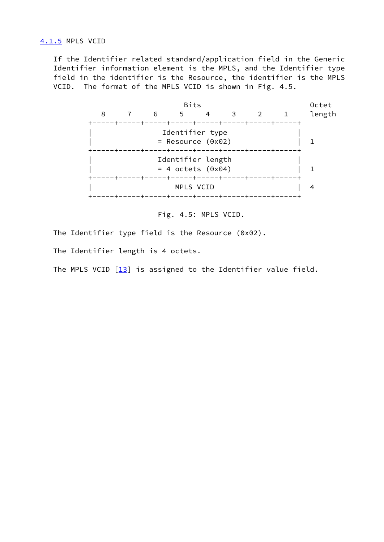<span id="page-16-0"></span>[4.1.5](#page-16-0) MPLS VCID

 If the Identifier related standard/application field in the Generic Identifier information element is the MPLS, and the Identifier type field in the identifier is the Resource, the identifier is the MPLS VCID. The format of the MPLS VCID is shown in Fig. 4.5.



Fig. 4.5: MPLS VCID.

The Identifier type field is the Resource (0x02).

The Identifier length is 4 octets.

The MPLS VCID  $[13]$  $[13]$  is assigned to the Identifier value field.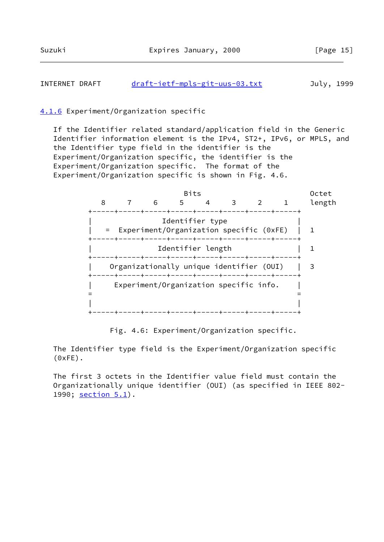## INTERNET DRAFT [draft-ietf-mpls-git-uus-03.txt](https://datatracker.ietf.org/doc/pdf/draft-ietf-mpls-git-uus-03.txt) July, 1999

### <span id="page-17-0"></span>[4.1.6](#page-17-0) Experiment/Organization specific

 If the Identifier related standard/application field in the Generic Identifier information element is the IPv4, ST2+, IPv6, or MPLS, and the Identifier type field in the identifier is the Experiment/Organization specific, the identifier is the Experiment/Organization specific. The format of the Experiment/Organization specific is shown in Fig. 4.6.



Fig. 4.6: Experiment/Organization specific.

 The Identifier type field is the Experiment/Organization specific (0xFE).

 The first 3 octets in the Identifier value field must contain the Organizationally unique identifier (OUI) (as specified in IEEE 802- 1990; section 5.1).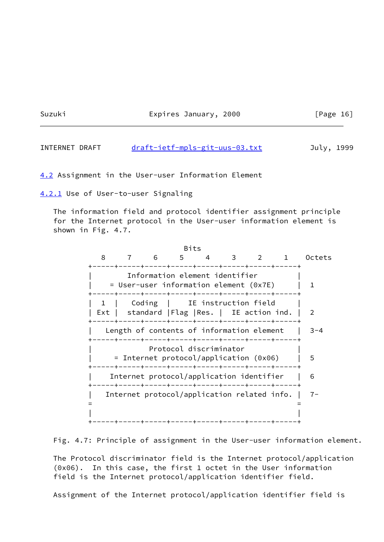Suzuki Expires January, 2000

| ∽a¤e |  |
|------|--|
|      |  |

| INTERNET DRAFT | draft-ietf-mpls-git-uus-03.txt | July, 1999 |
|----------------|--------------------------------|------------|
|                |                                |            |

<span id="page-18-0"></span>[4.2](#page-18-0) Assignment in the User-user Information Element

<span id="page-18-1"></span>[4.2.1](#page-18-1) Use of User-to-user Signaling

 The information field and protocol identifier assignment principle for the Internet protocol in the User-user information element is shown in Fig. 4.7.



Fig. 4.7: Principle of assignment in the User-user information element.

 The Protocol discriminator field is the Internet protocol/application (0x06). In this case, the first 1 octet in the User information field is the Internet protocol/application identifier field.

Assignment of the Internet protocol/application identifier field is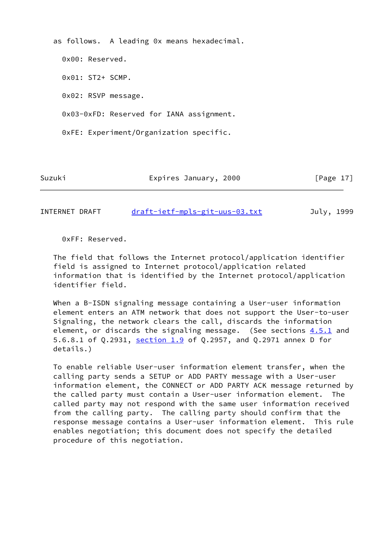as follows. A leading 0x means hexadecimal.

 0x00: Reserved. 0x01: ST2+ SCMP. 0x02: RSVP message. 0x03-0xFD: Reserved for IANA assignment. 0xFE: Experiment/Organization specific.

Suzuki Expires January, 2000 [Page 17]

INTERNET DRAFT [draft-ietf-mpls-git-uus-03.txt](https://datatracker.ietf.org/doc/pdf/draft-ietf-mpls-git-uus-03.txt) July, 1999

0xFF: Reserved.

 The field that follows the Internet protocol/application identifier field is assigned to Internet protocol/application related information that is identified by the Internet protocol/application identifier field.

When a B-ISDN signaling message containing a User-user information element enters an ATM network that does not support the User-to-user Signaling, the network clears the call, discards the information element, or discards the signaling message. (See sections 4.5.1 and 5.6.8.1 of Q.2931, section 1.9 of Q.2957, and Q.2971 annex D for details.)

 To enable reliable User-user information element transfer, when the calling party sends a SETUP or ADD PARTY message with a User-user information element, the CONNECT or ADD PARTY ACK message returned by the called party must contain a User-user information element. The called party may not respond with the same user information received from the calling party. The calling party should confirm that the response message contains a User-user information element. This rule enables negotiation; this document does not specify the detailed procedure of this negotiation.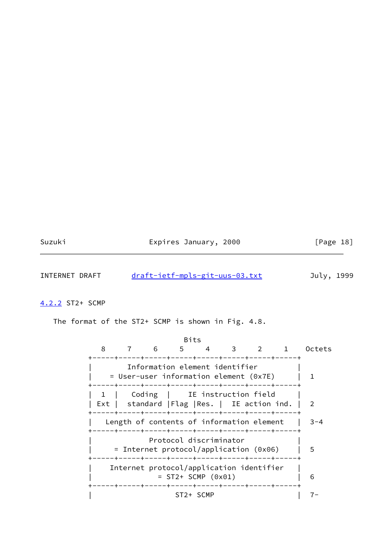| Suzuki |  |
|--------|--|
|        |  |

# Expires January, 2000 [Page 18]

INTERNET DRAFT [draft-ietf-mpls-git-uus-03.txt](https://datatracker.ietf.org/doc/pdf/draft-ietf-mpls-git-uus-03.txt) July, 1999

# <span id="page-20-0"></span>[4.2.2](#page-20-0) ST2+ SCMP

The format of the ST2+ SCMP is shown in Fig. 4.8.

|   |                                                                                | Bits      |                        |     |                                                   |         |
|---|--------------------------------------------------------------------------------|-----------|------------------------|-----|---------------------------------------------------|---------|
| 8 | 6                                                                              | $5 -$     |                        | 4 3 | $2^{\circ}$<br>---+-----+-----+-----+-----+-----+ | Octets  |
|   | Information element identifier<br>= User-user information element (0x7E)       |           |                        |     |                                                   |         |
|   | Coding   IE instruction field<br>Ext   standard   Flag   Res.   IE action ind. |           |                        |     |                                                   | 2       |
|   | Length of contents of information element                                      |           |                        |     |                                                   | $3 - 4$ |
|   | $=$ Internet protocol/application (0x06)                                       |           | Protocol discriminator |     |                                                   | 5       |
|   | Internet protocol/application identifier                                       |           | $= ST2+ SCMP (0x01)$   |     | -----+-----+-----+-----+-----+----+-              | 6       |
|   |                                                                                | ST2+ SCMP |                        |     |                                                   |         |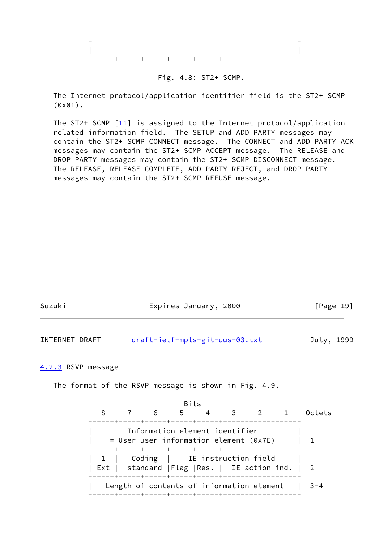

#### Fig. 4.8: ST2+ SCMP.

 The Internet protocol/application identifier field is the ST2+ SCMP (0x01).

The ST2+ SCMP  $[11]$  $[11]$  is assigned to the Internet protocol/application related information field. The SETUP and ADD PARTY messages may contain the ST2+ SCMP CONNECT message. The CONNECT and ADD PARTY ACK messages may contain the ST2+ SCMP ACCEPT message. The RELEASE and DROP PARTY messages may contain the ST2+ SCMP DISCONNECT message. The RELEASE, RELEASE COMPLETE, ADD PARTY REJECT, and DROP PARTY messages may contain the ST2+ SCMP REFUSE message.

<span id="page-21-0"></span>

| Suzuki                                                                   | Expires January, 2000                                                                    |                                |  |      |  |  | [Page 19] |             |                        |  |
|--------------------------------------------------------------------------|------------------------------------------------------------------------------------------|--------------------------------|--|------|--|--|-----------|-------------|------------------------|--|
| INTERNET DRAFT                                                           |                                                                                          | draft-ietf-mpls-git-uus-03.txt |  |      |  |  |           |             | July, 1999             |  |
| 4.2.3 RSVP message                                                       |                                                                                          |                                |  |      |  |  |           |             |                        |  |
| The format of the RSVP message is shown in Fig. 4.9.                     |                                                                                          |                                |  |      |  |  |           |             |                        |  |
|                                                                          |                                                                                          |                                |  | Bits |  |  |           |             |                        |  |
|                                                                          |                                                                                          |                                |  |      |  |  |           |             | 8 7 6 5 4 3 2 1 Octets |  |
| Information element identifier<br>= User-user information element (0x7E) |                                                                                          |                                |  |      |  |  |           | $\mathbf 1$ |                        |  |
|                                                                          | 1   Coding   IE instruction field  <br>Ext   standard   Flag   Res.   IE action ind.   2 |                                |  |      |  |  |           |             |                        |  |
|                                                                          | Length of contents of information element                                                |                                |  |      |  |  |           |             | $3 - 4$                |  |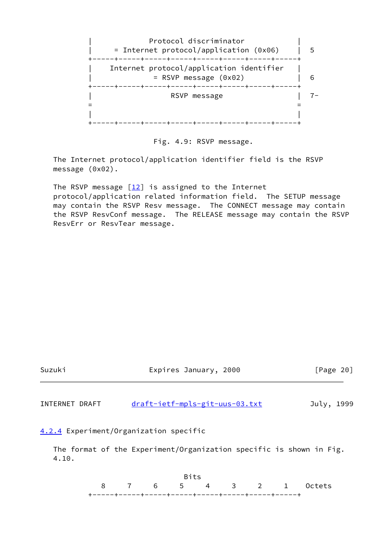



 The Internet protocol/application identifier field is the RSVP message (0x02).

The RSVP message  $[12]$  is assigned to the Internet protocol/application related information field. The SETUP message may contain the RSVP Resv message. The CONNECT message may contain the RSVP ResvConf message. The RELEASE message may contain the RSVP ResvErr or ResvTear message.



<span id="page-22-0"></span> The format of the Experiment/Organization specific is shown in Fig. 4.10.

<u>Bits and the contract of the Bits</u> 8 7 6 5 4 3 2 1 Octets +-----+-----+-----+-----+-----+-----+-----+-----+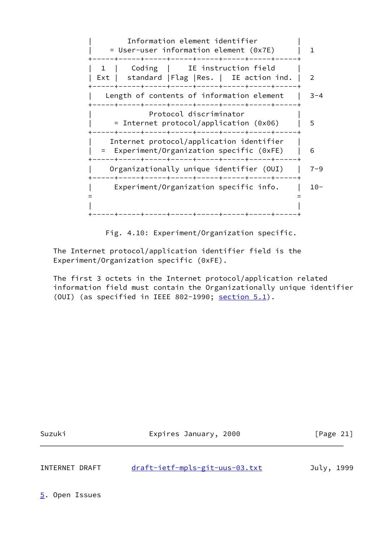Information element identifier | = User-user information element (0x7E) | 1 +-----+-----+-----+-----+-----+-----+-----+-----+ 1 | Coding | IE instruction field | Ext | standard | Flag | Res. | IE action ind. | 2 +-----+-----+-----+-----+-----+-----+-----+-----+ Length of contents of information element  $|$  3-4 +-----+-----+-----+-----+-----+-----+-----+-----+ Protocol discriminator | = Internet protocol/application (0x06) | 5 +-----+-----+-----+-----+-----+-----+-----+-----+ Internet protocol/application identifier | = Experiment/Organization specific (0xFE) | 6 +-----+-----+-----+-----+-----+-----+-----+-----+ | Organizationally unique identifier (OUI) | 7-9 +-----+-----+-----+-----+-----+-----+-----+-----+ | Experiment/Organization specific info. | 10- = = | | +-----+-----+-----+-----+-----+-----+-----+-----+

Fig. 4.10: Experiment/Organization specific.

 The Internet protocol/application identifier field is the Experiment/Organization specific (0xFE).

 The first 3 octets in the Internet protocol/application related information field must contain the Organizationally unique identifier (OUI) (as specified in IEEE 802-1990; section  $5.1$ ).

Suzuki **Expires January, 2000** [Page 21]

INTERNET DRAFT [draft-ietf-mpls-git-uus-03.txt](https://datatracker.ietf.org/doc/pdf/draft-ietf-mpls-git-uus-03.txt) July, 1999

<span id="page-23-0"></span>[5](#page-23-0). Open Issues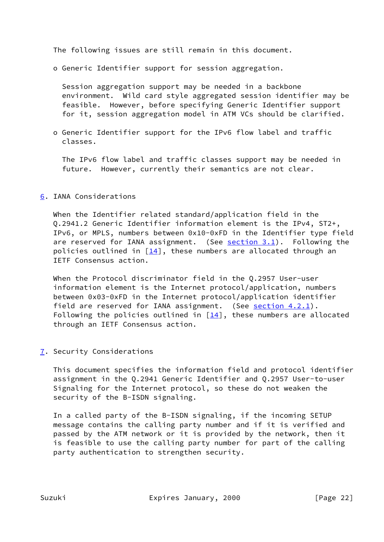The following issues are still remain in this document.

o Generic Identifier support for session aggregation.

 Session aggregation support may be needed in a backbone environment. Wild card style aggregated session identifier may be feasible. However, before specifying Generic Identifier support for it, session aggregation model in ATM VCs should be clarified.

 o Generic Identifier support for the IPv6 flow label and traffic classes.

 The IPv6 flow label and traffic classes support may be needed in future. However, currently their semantics are not clear.

## <span id="page-24-0"></span>[6](#page-24-0). IANA Considerations

 When the Identifier related standard/application field in the Q.2941.2 Generic Identifier information element is the IPv4, ST2+, IPv6, or MPLS, numbers between 0x10-0xFD in the Identifier type field are reserved for IANA assignment. (See [section 3.1](#page-5-1)). Following the policies outlined in  $[14]$ , these numbers are allocated through an IETF Consensus action.

 When the Protocol discriminator field in the Q.2957 User-user information element is the Internet protocol/application, numbers between 0x03-0xFD in the Internet protocol/application identifier field are reserved for IANA assignment. (See [section 4.2.1\)](#page-18-1). Following the policies outlined in  $[14]$  $[14]$ , these numbers are allocated through an IETF Consensus action.

## <span id="page-24-1"></span>[7](#page-24-1). Security Considerations

 This document specifies the information field and protocol identifier assignment in the Q.2941 Generic Identifier and Q.2957 User-to-user Signaling for the Internet protocol, so these do not weaken the security of the B-ISDN signaling.

 In a called party of the B-ISDN signaling, if the incoming SETUP message contains the calling party number and if it is verified and passed by the ATM network or it is provided by the network, then it is feasible to use the calling party number for part of the calling party authentication to strengthen security.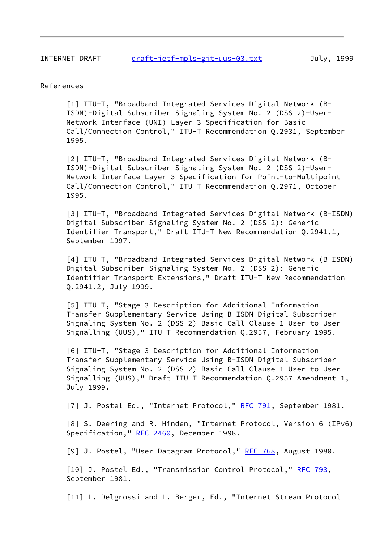#### References

<span id="page-25-2"></span> [1] ITU-T, "Broadband Integrated Services Digital Network (B- ISDN)-Digital Subscriber Signaling System No. 2 (DSS 2)-User- Network Interface (UNI) Layer 3 Specification for Basic Call/Connection Control," ITU-T Recommendation Q.2931, September 1995.

<span id="page-25-3"></span> [2] ITU-T, "Broadband Integrated Services Digital Network (B- ISDN)-Digital Subscriber Signaling System No. 2 (DSS 2)-User- Network Interface Layer 3 Specification for Point-to-Multipoint Call/Connection Control," ITU-T Recommendation Q.2971, October 1995.

<span id="page-25-0"></span> [3] ITU-T, "Broadband Integrated Services Digital Network (B-ISDN) Digital Subscriber Signaling System No. 2 (DSS 2): Generic Identifier Transport," Draft ITU-T New Recommendation Q.2941.1, September 1997.

<span id="page-25-1"></span> [4] ITU-T, "Broadband Integrated Services Digital Network (B-ISDN) Digital Subscriber Signaling System No. 2 (DSS 2): Generic Identifier Transport Extensions," Draft ITU-T New Recommendation Q.2941.2, July 1999.

<span id="page-25-4"></span> [5] ITU-T, "Stage 3 Description for Additional Information Transfer Supplementary Service Using B-ISDN Digital Subscriber Signaling System No. 2 (DSS 2)-Basic Call Clause 1-User-to-User Signalling (UUS)," ITU-T Recommendation Q.2957, February 1995.

<span id="page-25-5"></span> [6] ITU-T, "Stage 3 Description for Additional Information Transfer Supplementary Service Using B-ISDN Digital Subscriber Signaling System No. 2 (DSS 2)-Basic Call Clause 1-User-to-User Signalling (UUS)," Draft ITU-T Recommendation Q.2957 Amendment 1, July 1999.

<span id="page-25-6"></span>[7] J. Postel Ed., "Internet Protocol," [RFC 791](https://datatracker.ietf.org/doc/pdf/rfc791), September 1981.

<span id="page-25-10"></span> [8] S. Deering and R. Hinden, "Internet Protocol, Version 6 (IPv6) Specification," [RFC 2460,](https://datatracker.ietf.org/doc/pdf/rfc2460) December 1998.

<span id="page-25-7"></span>[9] J. Postel, "User Datagram Protocol," [RFC 768,](https://datatracker.ietf.org/doc/pdf/rfc768) August 1980.

<span id="page-25-8"></span>[10] J. Postel Ed., "Transmission Control Protocol," [RFC 793](https://datatracker.ietf.org/doc/pdf/rfc793), September 1981.

<span id="page-25-9"></span>[11] L. Delgrossi and L. Berger, Ed., "Internet Stream Protocol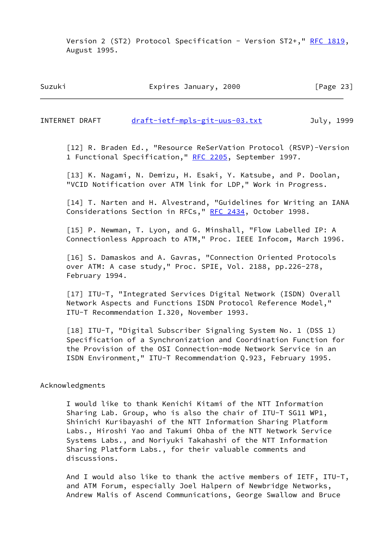Version 2 (ST2) Protocol Specification - Version ST2+," [RFC 1819,](https://datatracker.ietf.org/doc/pdf/rfc1819) August 1995.

Suzuki Expires January, 2000 [Page 23]

INTERNET DRAFT [draft-ietf-mpls-git-uus-03.txt](https://datatracker.ietf.org/doc/pdf/draft-ietf-mpls-git-uus-03.txt) July, 1999

<span id="page-26-1"></span> [12] R. Braden Ed., "Resource ReSerVation Protocol (RSVP)-Version 1 Functional Specification," [RFC 2205](https://datatracker.ietf.org/doc/pdf/rfc2205), September 1997.

<span id="page-26-0"></span> [13] K. Nagami, N. Demizu, H. Esaki, Y. Katsube, and P. Doolan, "VCID Notification over ATM link for LDP," Work in Progress.

<span id="page-26-2"></span> [14] T. Narten and H. Alvestrand, "Guidelines for Writing an IANA Considerations Section in RFCs," [RFC 2434,](https://datatracker.ietf.org/doc/pdf/rfc2434) October 1998.

 [15] P. Newman, T. Lyon, and G. Minshall, "Flow Labelled IP: A Connectionless Approach to ATM," Proc. IEEE Infocom, March 1996.

[16] S. Damaskos and A. Gavras, "Connection Oriented Protocols over ATM: A case study," Proc. SPIE, Vol. 2188, pp.226-278, February 1994.

 [17] ITU-T, "Integrated Services Digital Network (ISDN) Overall Network Aspects and Functions ISDN Protocol Reference Model," ITU-T Recommendation I.320, November 1993.

 [18] ITU-T, "Digital Subscriber Signaling System No. 1 (DSS 1) Specification of a Synchronization and Coordination Function for the Provision of the OSI Connection-mode Network Service in an ISDN Environment," ITU-T Recommendation Q.923, February 1995.

Acknowledgments

 I would like to thank Kenichi Kitami of the NTT Information Sharing Lab. Group, who is also the chair of ITU-T SG11 WP1, Shinichi Kuribayashi of the NTT Information Sharing Platform Labs., Hiroshi Yao and Takumi Ohba of the NTT Network Service Systems Labs., and Noriyuki Takahashi of the NTT Information Sharing Platform Labs., for their valuable comments and discussions.

 And I would also like to thank the active members of IETF, ITU-T, and ATM Forum, especially Joel Halpern of Newbridge Networks, Andrew Malis of Ascend Communications, George Swallow and Bruce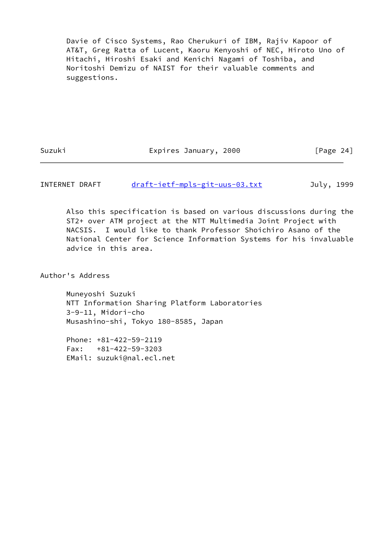Davie of Cisco Systems, Rao Cherukuri of IBM, Rajiv Kapoor of AT&T, Greg Ratta of Lucent, Kaoru Kenyoshi of NEC, Hiroto Uno of Hitachi, Hiroshi Esaki and Kenichi Nagami of Toshiba, and Noritoshi Demizu of NAIST for their valuable comments and suggestions.

Suzuki Expires January, 2000 [Page 24]

INTERNET DRAFT [draft-ietf-mpls-git-uus-03.txt](https://datatracker.ietf.org/doc/pdf/draft-ietf-mpls-git-uus-03.txt) July, 1999

 Also this specification is based on various discussions during the ST2+ over ATM project at the NTT Multimedia Joint Project with NACSIS. I would like to thank Professor Shoichiro Asano of the National Center for Science Information Systems for his invaluable advice in this area.

Author's Address

 Muneyoshi Suzuki NTT Information Sharing Platform Laboratories 3-9-11, Midori-cho Musashino-shi, Tokyo 180-8585, Japan

 Phone: +81-422-59-2119 Fax: +81-422-59-3203 EMail: suzuki@nal.ecl.net